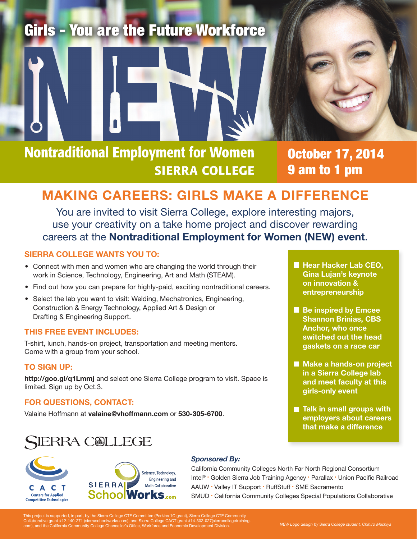# Girls - You are the Future Workforce



October 17, 2014 9 am to 1 pm

# MAKING CAREERS: GIRLS MAKE A DIFFERENCE

You are invited to visit Sierra College, explore interesting majors, use your creativity on a take home project and discover rewarding careers at the Nontraditional Employment for Women (NEW) event.

## SIERRA COLLEGE WANTS YOU TO:

- Connect with men and women who are changing the world through their work in Science, Technology, Engineering, Art and Math (STEAM).
- Find out how you can prepare for highly-paid, exciting nontraditional careers.
- Select the lab you want to visit: Welding, Mechatronics, Engineering, Construction & Energy Technology, Applied Art & Design or Drafting & Engineering Support.

#### THIS FREE EVENT INCLUDES:

T-shirt, lunch, hands-on project, transportation and meeting mentors. Come with a group from your school.

# TO SIGN UP:

http://goo.gl/q1Lmmj and select one Sierra College program to visit. Space is limited. Sign up by Oct.3.

## FOR QUESTIONS, CONTACT:

Valaine Hoffmann at valaine@vhoffmann.com or 530-305-6700.

# **SIERRA COLLEGE**





## *Sponsored By:*

California Community Colleges North Far North Regional Consortium Intel® • Golden Sierra Job Training Agency • Parallax • Union Pacific Railroad AAUW • Valley IT Support • RuffStuff • SME Sacramento SMUD • California Community Colleges Special Populations Collaborative

This project is supported, in part, by the Sierra College CTE Committee (Perkins 1C grant), Sierra College CTE Community<br>Collaborative grant #12-140-271 (sierraschoolworks.com), and Sierra College CACT grant #14-302-027(si

Shannon Brinias, CBS Anchor, who once switched out the head gaskets on a race car

**Hear Hacker Lab CEO,** Gina Lujan's keynote on innovation & entrepreneurship

**Be inspired by Emcee** 

- **Make a hands-on project** in a Sierra College lab and meet faculty at this girls-only event
- **Talk in small groups with** employers about careers that make a difference